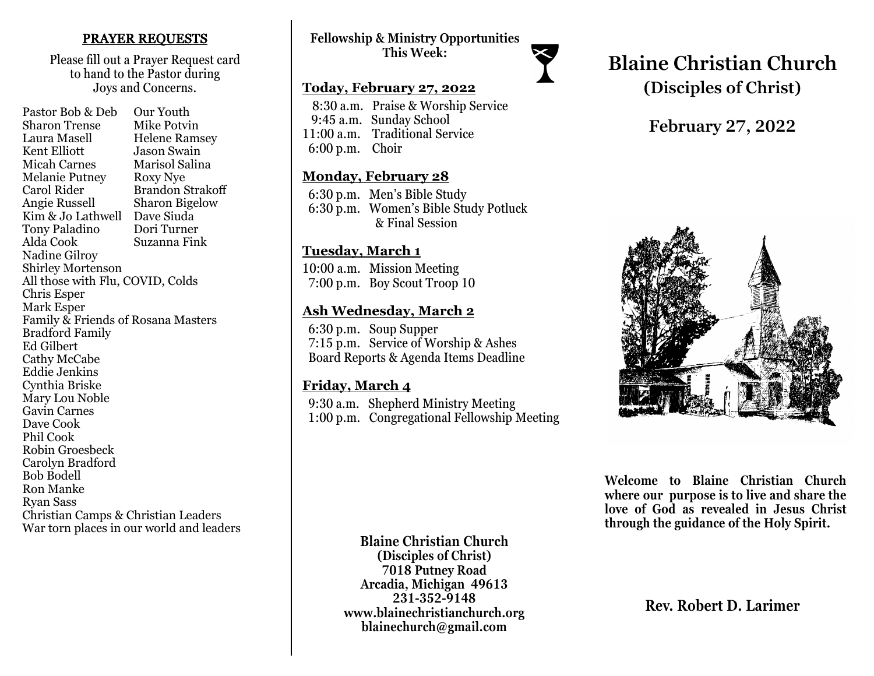### PRAYER REQUESTS

Please fill out a Prayer Request card to hand to the Pastor during Joys and Concerns.

Pastor Bob & Deb Our Youth Sharon Trense Mike Potvin Laura Masell Helene Ramsey<br>Kent Elliott Jason Swain Jason Swain Micah Carnes Marisol Salina Melanie Putney Roxy Nye Carol Rider Brandon Strakoff Angie Russell Sharon Bigelow Kim & Jo Lathwell Dave Siuda<br>Tony Paladino Dori Turner Tony Paladino Alda Cook Suzanna Fink Nadine Gilroy Shirley Mortenson All those with Flu, COVID, Colds Chris Esper Mark Esper Family & Friends of Rosana Masters Bradford Family Ed Gilbert Cathy McCabe Eddie Jenkins Cynthia Briske Mary Lou Noble Gavin Carnes Dave Cook Phil Cook Robin Groesbeck Carolyn Bradford Bob Bodell Ron Manke Ryan Sass Christian Camps & Christian Leaders War torn places in our world and leaders

# **Fellowship & Ministry Opportunities This Week:**

### **Today, February 27, 2022**

 8:30 a.m. Praise & Worship Service 9:45 a.m. Sunday School 11:00 a.m. Traditional Service 6:00 p.m. Choir

### **Monday, February 28**

 6:30 p.m. Men's Bible Study 6:30 p.m. Women's Bible Study Potluck & Final Session

# **Tuesday, March 1**

10:00 a.m. Mission Meeting 7:00 p.m. Boy Scout Troop 10

# **Ash Wednesday, March 2**

 6:30 p.m. Soup Supper 7:15 p.m. Service of Worship & Ashes Board Reports & Agenda Items Deadline

### **Friday, March 4**

 9:30 a.m. Shepherd Ministry Meeting 1:00 p.m. Congregational Fellowship Meeting

# **Blaine Christian Church (Disciples of Christ)**

# **February 27, 2022**



**Welcome to Blaine Christian Church where our purpose is to live and share the love of God as revealed in Jesus Christ through the guidance of the Holy Spirit.**

**Blaine Christian Church (Disciples of Christ) 7018 Putney Road Arcadia, Michigan 49613 231-352-9148 www.blainechristianchurch.org blainechurch@gmail.com**

**Rev. Robert D. Larimer**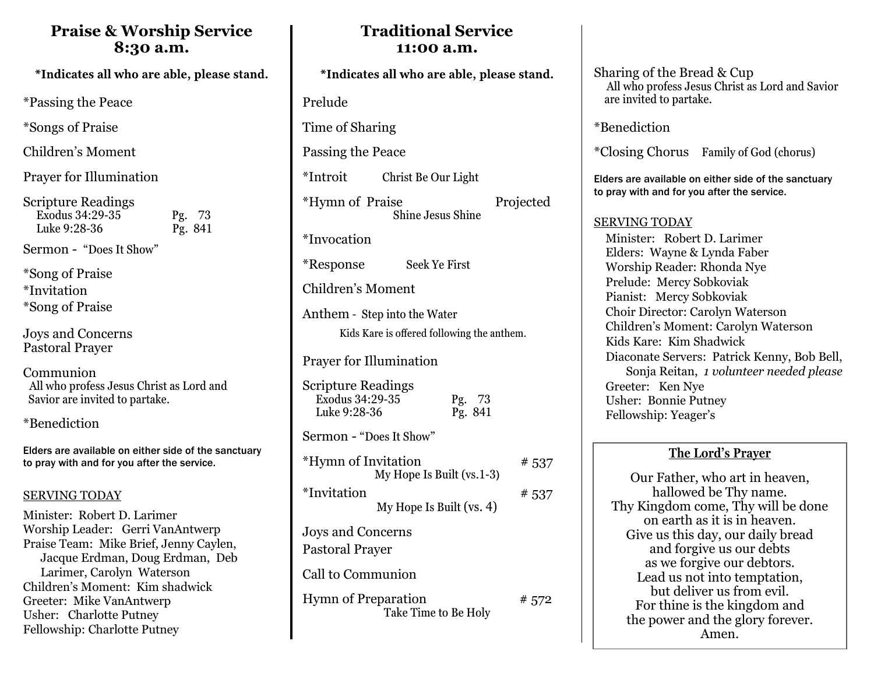# **Praise & Worship Service 8:30 a.m.**

\*Passing the Peace

\*Songs of Praise

Children's Moment

Prayer for Illumination

| <b>Scripture Readings</b> |         |
|---------------------------|---------|
| Exodus 34:29-35           | Pg. 73  |
| Luke 9:28-36              | Pg. 841 |

Sermon - "Does It Show"

\*Song of Praise \*Invitation \*Song of Praise

Joys and Concerns Pastoral Prayer

Communion All who profess Jesus Christ as Lord and Savior are invited to partake.

\*Benediction

Elders are available on either side of the sanctuary to pray with and for you after the service.

### SERVING TODAY

Minister: Robert D. Larimer Worship Leader: Gerri VanAntwerp Praise Team: Mike Brief, Jenny Caylen, Jacque Erdman, Doug Erdman, Deb Larimer, Carolyn Waterson Children's Moment: Kim shadwick Greeter: Mike VanAntwerp Usher: Charlotte Putney Fellowship: Charlotte Putney

# Prelude Time of Sharing Passing the Peace \*Introit Christ Be Our Light \*Hymn of Praise Projected Shine Jesus Shine \*Invocation \*Response Seek Ye First Children's Moment Anthem - Step into the Water Prayer for Illumination Scripture Readings Exodus 34:29-35 Pg. 73 Luke 9:28-36 Pg. 841 Sermon - "Does It Show"  $***Hymn**$  of Invitation  $***537**$ My Hope Is Built (vs.1-3)  $*$ Invitation  $*$  537 My Hope Is Built (vs. 4) Joys and Concerns Pastoral Prayer Call to Communion Hymn of Preparation  $# 572$ Take Time to Be Holy Kids Kare is offered following the anthem.

**Traditional Service 11:00 a.m.** 

> Sharing of the Bread & Cup All who profess Jesus Christ as Lord and Savior are invited to partake.

\*Benediction

\*Closing Chorus Family of God (chorus)

Elders are available on either side of the sanctuary to pray with and for you after the service.

### SERVING TODAY

 Minister: Robert D. Larimer Elders: Wayne & Lynda Faber Worship Reader: Rhonda Nye Prelude: Mercy Sobkoviak Pianist: Mercy Sobkoviak Choir Director: Carolyn Waterson Children's Moment: Carolyn Waterson Kids Kare: Kim Shadwick Diaconate Servers: Patrick Kenny, Bob Bell, Sonja Reitan, *1 volunteer needed please* Greeter: Ken Nye Usher: Bonnie Putney Fellowship: Yeager's

# **The Lord's Prayer**

Our Father, who art in heaven, hallowed be Thy name. Thy Kingdom come, Thy will be done on earth as it is in heaven. Give us this day, our daily bread and forgive us our debts as we forgive our debtors. Lead us not into temptation, but deliver us from evil. For thine is the kingdom and the power and the glory forever. Amen.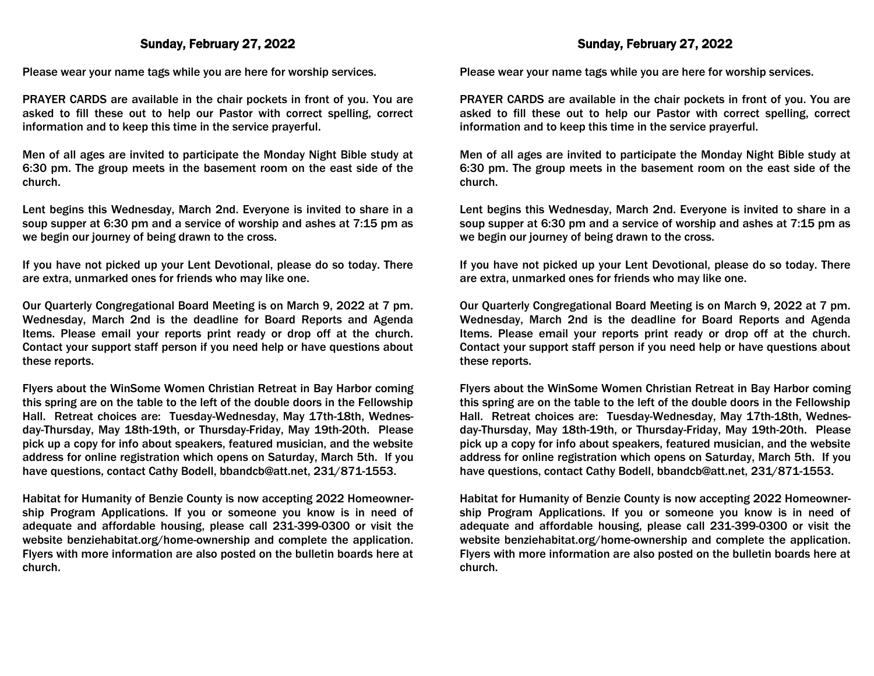#### Sunday, February 27, 2022

Please wear your name tags while you are here for worship services.

PRAYER CARDS are available in the chair pockets in front of you. You are asked to fill these out to help our Pastor with correct spelling, correct information and to keep this time in the service prayerful.

Men of all ages are invited to participate the Monday Night Bible study at 6:30 pm. The group meets in the basement room on the east side of the church.

Lent begins this Wednesday, March 2nd. Everyone is invited to share in a soup supper at 6:30 pm and a service of worship and ashes at 7:15 pm as we begin our journey of being drawn to the cross.

If you have not picked up your Lent Devotional, please do so today. There are extra, unmarked ones for friends who may like one.

Our Quarterly Congregational Board Meeting is on March 9, 2022 at 7 pm. Wednesday, March 2nd is the deadline for Board Reports and Agenda Items. Please email your reports print ready or drop off at the church. Contact your support staff person if you need help or have questions about these reports.

Flyers about the WinSome Women Christian Retreat in Bay Harbor coming this spring are on the table to the left of the double doors in the Fellowship Hall. Retreat choices are: Tuesday-Wednesday, May 17th-18th, Wednesday-Thursday, May 18th-19th, or Thursday-Friday, May 19th-20th. Please pick up a copy for info about speakers, featured musician, and the website address for online registration which opens on Saturday, March 5th. If you have questions, contact Cathy Bodell, bbandcb@att.net, 231/871-1553.

Habitat for Humanity of Benzie County is now accepting 2022 Homeownership Program Applications. If you or someone you know is in need of adequate and affordable housing, please call 231-399-0300 or visit the website benziehabitat.org/home-ownership and complete the application. Flyers with more information are also posted on the bulletin boards here at church.

Please wear your name tags while you are here for worship services.

PRAYER CARDS are available in the chair pockets in front of you. You are asked to fill these out to help our Pastor with correct spelling, correct information and to keep this time in the service prayerful.

Men of all ages are invited to participate the Monday Night Bible study at 6:30 pm. The group meets in the basement room on the east side of the church.

Lent begins this Wednesday, March 2nd. Everyone is invited to share in a soup supper at 6:30 pm and a service of worship and ashes at 7:15 pm as we begin our journey of being drawn to the cross.

If you have not picked up your Lent Devotional, please do so today. There are extra, unmarked ones for friends who may like one.

Our Quarterly Congregational Board Meeting is on March 9, 2022 at 7 pm. Wednesday, March 2nd is the deadline for Board Reports and Agenda Items. Please email your reports print ready or drop off at the church. Contact your support staff person if you need help or have questions about these reports.

Flyers about the WinSome Women Christian Retreat in Bay Harbor coming this spring are on the table to the left of the double doors in the Fellowship Hall. Retreat choices are: Tuesday-Wednesday, May 17th-18th, Wednesday-Thursday, May 18th-19th, or Thursday-Friday, May 19th-20th. Please pick up a copy for info about speakers, featured musician, and the website address for online registration which opens on Saturday, March 5th. If you have questions, contact Cathy Bodell, bbandcb@att.net, 231/871-1553.

Habitat for Humanity of Benzie County is now accepting 2022 Homeownership Program Applications. If you or someone you know is in need of adequate and affordable housing, please call 231-399-0300 or visit the website benziehabitat.org/home-ownership and complete the application. Flyers with more information are also posted on the bulletin boards here at church.

### Sunday, February 27, 2022